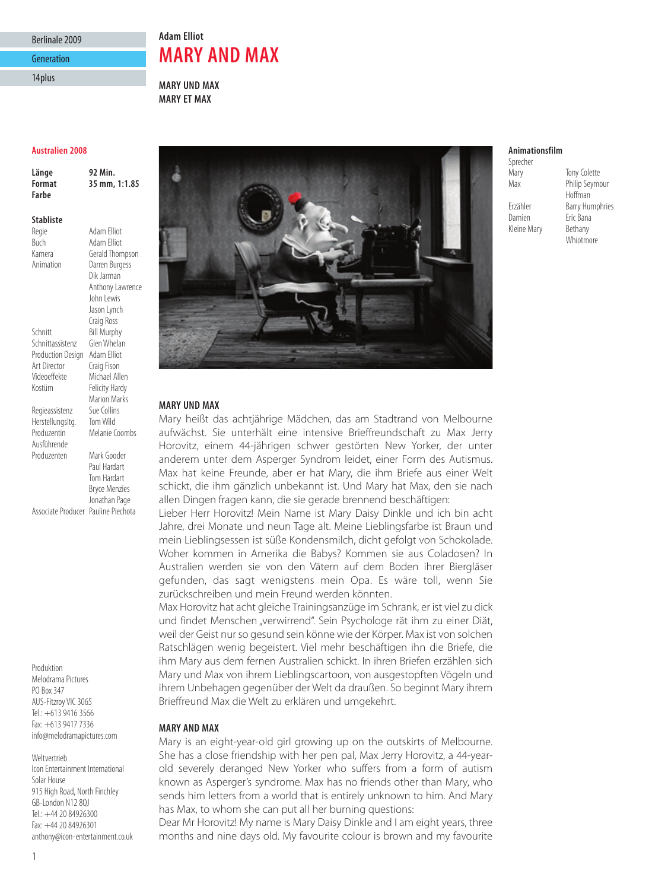## Berlinale 2009 Generation

14plus

# **Adam Elliot MARY AND MAX**

**MARY UND MAX MARY ET MAX**

#### **Australien 2008**

**Länge 92 Min. Format 35 mm, 1:1.85 Farbe**

#### **Stabliste**

Regie Adam Elliot<br>Ruch Adam Elliot

Herstellungsltg.

Ausführende

Kamera Gerald Thompson<br>Animation Darren Burgess Darren Burgess Dik Jarman Anthony Lawrence John Lewis Jason Lynch Craig Ross Schnitt Bill Murphy<br>Schnittassistenz Glen Whelan Schnittassistenz Production Design Adam Elliot Art Director Craig Fison<br>Videoeffekte Michael All Michael Allen Kostüm Felicity Hardy Marion Marks<br>Sue Collins

Buch Adam Elliot

Regieassistenz Sue Collins<br>Herstellungsltg. Tom Wild Produzentin Melanie Coombs Produzenten Mark Gooder

Paul Hardart Tom Hardart Bryce Menzies Jonathan Page Associate Producer Pauline Piechota

Produktion Melodrama Pictures PO Box 347 AUS-Fitzroy VIC 3065 Tel.: +613 9416 3566 Fax: +613 9417 7336 info@melodramapictures.com

Weltvertrieb Icon Entertainment International Solar House 915 High Road, North Finchley GB-London N12 8QJ Tel.: +44 20 84926300 Fax: +44 20 84926301 anthony@icon-entertainment.co.uk



## **MARY UND MAX**

Mary heißt das achtjährige Mädchen, das am Stadtrand von Melbourne aufwächst. Sie unterhält eine intensive Brieffreundschaft zu Max Jerry Horovitz, einem 44-jährigen schwer gestörten New Yorker, der unter anderem unter dem Asperger Syndrom leidet, einer Form des Autismus. Max hat keine Freunde, aber er hat Mary, die ihm Briefe aus einer Welt schickt, die ihm gänzlich unbekannt ist. Und Mary hat Max, den sie nach allen Dingen fragen kann, die sie gerade brennend beschäftigen:

Lieber Herr Horovitz! Mein Name ist Mary Daisy Dinkle und ich bin acht Jahre, drei Monate und neun Tage alt. Meine Lieblingsfarbe ist Braun und mein Lieblingsessen ist süße Kondensmilch, dicht gefolgt von Schokolade. Woher kommen in Amerika die Babys? Kommen sie aus Coladosen? In Australien werden sie von den Vätern auf dem Boden ihrer Biergläser gefunden, das sagt wenigstens mein Opa. Es wäre toll, wenn Sie zurückschreiben und mein Freund werden könnten.

Max Horovitz hat acht gleiche Trainingsanzüge im Schrank, er ist viel zu dick und findet Menschen "verwirrend". Sein Psychologe rät ihm zu einer Diät, weil der Geist nur so gesund sein könne wie der Körper. Max ist von solchen Ratschlägen wenig begeistert. Viel mehr beschäftigen ihn die Briefe, die ihm Mary aus dem fernen Australien schickt. In ihren Briefen erzählen sich Mary und Max von ihrem Lieblingscartoon, von ausgestopften Vögeln und ihrem Unbehagen gegenüber der Welt da draußen. So beginnt Mary ihrem Brieffreund Max die Welt zu erklären und umgekehrt.

#### **MARY AND MAX**

Mary is an eight-year-old girl growing up on the outskirts of Melbourne. She has a close friendship with her pen pal, Max Jerry Horovitz, a 44-yearold severely deranged New Yorker who suffers from a form of autism known as Asperger's syndrome. Max has no friends other than Mary, who sends him letters from a world that is entirely unknown to him. And Mary has Max, to whom she can put all her burning questions:

Dear Mr Horovitz! My name is Mary Daisy Dinkle and I am eight years, three months and nine days old. My favourite colour is brown and my favourite

#### **Animationsfilm**

Sprecher Mary Tony Colette Max Philip Seymour Hoffman Erzähler Barry Humphries Damien Eric Bana<br>Kleine Marv Bethany Kleine Mary Whiotmore